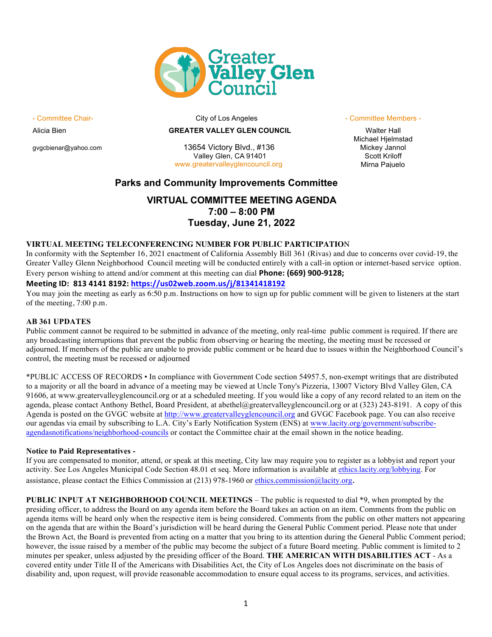

### Alicia Bien **GREATER VALLEY GLEN COUNCIL** Walter Hall

gvgcbienar@yahoo.com 13654 Victory Blvd., #136 Mickey Jannol Valley Glen, CA 91401 Scott Kriloff<br>
Valley Glen, CA 91401 Scott Kriloff<br>
Mirna Paiuelo www.greatervalleyglencouncil.org

#### - Committee Chair- Committee Chair- City of Los Angeles - Committee Members - Committee Members -

Michael Hjelmstad

## **Parks and Community Improvements Committee**

# **VIRTUAL COMMITTEE MEETING AGENDA 7:00 – 8:00 PM Tuesday, June 21, 2022**

#### **VIRTUAL MEETING TELECONFERENCING NUMBER FOR PUBLIC PARTICIPATIO**N

In conformity with the September 16, 2021 enactment of California Assembly Bill 361 (Rivas) and due to concerns over covid-19, the Greater Valley Glenn Neighborhood Council meeting will be conducted entirely with a call-in option or internet-based service option. Every person wishing to attend and/or comment at this meeting can dial **Phone: (669) 900-9128;** 

### **Meeting ID: 813 4141 8192: https://us02web.zoom.us/j/81341418192**

You may join the meeting as early as 6:50 p.m. Instructions on how to sign up for public comment will be given to listeners at the start of the meeting, 7:00 p.m.

#### **AB 361 UPDATES**

Public comment cannot be required to be submitted in advance of the meeting, only real-time public comment is required. If there are any broadcasting interruptions that prevent the public from observing or hearing the meeting, the meeting must be recessed or adjourned. If members of the public are unable to provide public comment or be heard due to issues within the Neighborhood Council's control, the meeting must be recessed or adjourned

\*PUBLIC ACCESS OF RECORDS • In compliance with Government Code section 54957.5, non-exempt writings that are distributed to a majority or all the board in advance of a meeting may be viewed at Uncle Tony's Pizzeria, 13007 Victory Blvd Valley Glen, CA 91606, at www.greatervalleyglencouncil.org or at a scheduled meeting. If you would like a copy of any record related to an item on the agenda, please contact Anthony Bethel, Board President, at abethel@greatervalleyglencouncil.org or at (323) 243-8191. A copy of this Agenda is posted on the GVGC website at http://www.greatervalleyglencouncil.org and GVGC Facebook page. You can also receive our agendas via email by subscribing to L.A. City's Early Notification System (ENS) at www.lacity.org/government/subscribeagendasnotifications/neighborhood-councils or contact the Committee chair at the email shown in the notice heading.

#### **Notice to Paid Representatives -**

If you are compensated to monitor, attend, or speak at this meeting, City law may require you to register as a lobbyist and report your activity. See Los Angeles Municipal Code Section 48.01 et seq. More information is available at ethics.lacity.org/lobbying. For assistance, please contact the Ethics Commission at (213) 978-1960 or ethics.commission@lacity.org.

**PUBLIC INPUT AT NEIGHBORHOOD COUNCIL MEETINGS** – The public is requested to dial \*9, when prompted by the presiding officer, to address the Board on any agenda item before the Board takes an action on an item. Comments from the public on agenda items will be heard only when the respective item is being considered. Comments from the public on other matters not appearing on the agenda that are within the Board's jurisdiction will be heard during the General Public Comment period. Please note that under the Brown Act, the Board is prevented from acting on a matter that you bring to its attention during the General Public Comment period; however, the issue raised by a member of the public may become the subject of a future Board meeting. Public comment is limited to 2 minutes per speaker, unless adjusted by the presiding officer of the Board. **THE AMERICAN WITH DISABILITIES ACT** - As a covered entity under Title II of the Americans with Disabilities Act, the City of Los Angeles does not discriminate on the basis of disability and, upon request, will provide reasonable accommodation to ensure equal access to its programs, services, and activities.